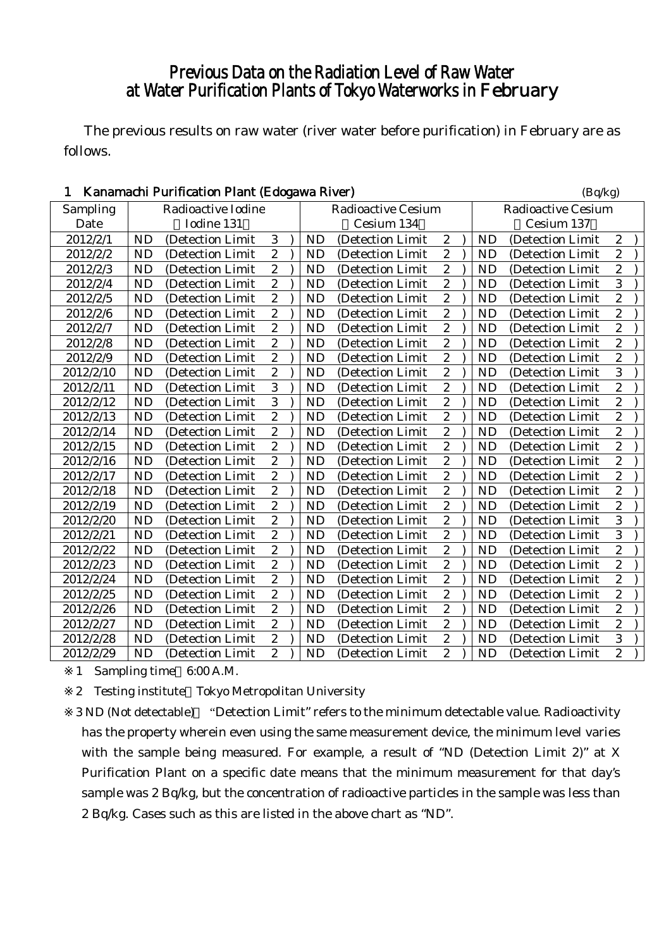## Previous Data on the Radiation Level of Raw Water at Water Purification Plants of Tokyo Waterworks in February

The previous results on raw water (river water before purification) in February are as follows.

| 1         |           | Kanamachi Purification Plant (Edogawa River) |                  |           |                           |                  |           | (Bq/kg)                   |                  |  |
|-----------|-----------|----------------------------------------------|------------------|-----------|---------------------------|------------------|-----------|---------------------------|------------------|--|
| Sampling  |           | Radioactive Iodine                           |                  |           | <b>Radioactive Cesium</b> |                  |           | <b>Radioactive Cesium</b> |                  |  |
| Date      |           | Iodine 131                                   |                  |           | Cesium 134                |                  |           | Cesium 137                |                  |  |
| 2012/2/1  | <b>ND</b> | (Detection Limit                             | 3                | <b>ND</b> | (Detection Limit          | $\boldsymbol{2}$ | <b>ND</b> | (Detection Limit          | $\boldsymbol{2}$ |  |
| 2012/2/2  | <b>ND</b> | (Detection Limit                             | $\overline{c}$   | <b>ND</b> | (Detection Limit          | $\boldsymbol{2}$ | <b>ND</b> | (Detection Limit          | $\overline{2}$   |  |
| 2012/2/3  | <b>ND</b> | (Detection Limit                             | $\boldsymbol{2}$ | <b>ND</b> | (Detection Limit          | $\overline{c}$   | <b>ND</b> | (Detection Limit          | $\overline{c}$   |  |
| 2012/2/4  | <b>ND</b> | (Detection Limit                             | $\boldsymbol{2}$ | <b>ND</b> | (Detection Limit          | $\boldsymbol{2}$ | <b>ND</b> | (Detection Limit          | 3                |  |
| 2012/2/5  | <b>ND</b> | (Detection Limit)                            | $\overline{c}$   | <b>ND</b> | (Detection Limit)         | $\boldsymbol{2}$ | <b>ND</b> | (Detection Limit          | $\overline{c}$   |  |
| 2012/2/6  | <b>ND</b> | (Detection Limit                             | $\overline{2}$   | <b>ND</b> | (Detection Limit          | $\overline{2}$   | <b>ND</b> | (Detection Limit          | $\overline{2}$   |  |
| 2012/2/7  | <b>ND</b> | (Detection Limit                             | $\overline{2}$   | <b>ND</b> | (Detection Limit          | $\overline{c}$   | <b>ND</b> | (Detection Limit          | $\overline{c}$   |  |
| 2012/2/8  | <b>ND</b> | (Detection Limit                             | $\overline{c}$   | <b>ND</b> | (Detection Limit          | $\boldsymbol{2}$ | <b>ND</b> | (Detection Limit          | $\overline{c}$   |  |
| 2012/2/9  | <b>ND</b> | (Detection Limit                             | $\overline{2}$   | <b>ND</b> | (Detection Limit          | $\overline{2}$   | <b>ND</b> | (Detection Limit          | $\overline{2}$   |  |
| 2012/2/10 | <b>ND</b> | (Detection Limit                             | $\overline{c}$   | <b>ND</b> | (Detection Limit          | $\boldsymbol{2}$ | <b>ND</b> | (Detection Limit          | 3                |  |
| 2012/2/11 | <b>ND</b> | (Detection Limit                             | $\overline{3}$   | <b>ND</b> | (Detection Limit          | $\boldsymbol{2}$ | <b>ND</b> | (Detection Limit          | $\overline{c}$   |  |
| 2012/2/12 | <b>ND</b> | (Detection Limit                             | $\overline{3}$   | <b>ND</b> | (Detection Limit          | $\overline{2}$   | <b>ND</b> | (Detection Limit          | $\overline{2}$   |  |
| 2012/2/13 | <b>ND</b> | (Detection Limit                             | $\boldsymbol{2}$ | <b>ND</b> | (Detection Limit          | $\boldsymbol{2}$ | <b>ND</b> | (Detection Limit          | $\overline{c}$   |  |
| 2012/2/14 | <b>ND</b> | (Detection Limit                             | $\overline{c}$   | <b>ND</b> | (Detection Limit          | $\boldsymbol{2}$ | <b>ND</b> | (Detection Limit          | $\overline{c}$   |  |
| 2012/2/15 | <b>ND</b> | (Detection Limit                             | $\overline{2}$   | <b>ND</b> | (Detection Limit          | $\overline{2}$   | <b>ND</b> | (Detection Limit          | $\overline{2}$   |  |
| 2012/2/16 | <b>ND</b> | (Detection Limit                             | $\overline{2}$   | <b>ND</b> | (Detection Limit          | $\boldsymbol{2}$ | <b>ND</b> | (Detection Limit          | $\overline{2}$   |  |
| 2012/2/17 | <b>ND</b> | (Detection Limit                             | $\overline{c}$   | <b>ND</b> | (Detection Limit          | $\overline{c}$   | <b>ND</b> | (Detection Limit          | $\overline{c}$   |  |
| 2012/2/18 | <b>ND</b> | (Detection Limit                             | $\overline{c}$   | <b>ND</b> | (Detection Limit          | $\overline{c}$   | <b>ND</b> | (Detection Limit          | $\overline{c}$   |  |
| 2012/2/19 | <b>ND</b> | (Detection Limit                             | $\boldsymbol{2}$ | <b>ND</b> | (Detection Limit          | $\boldsymbol{2}$ | <b>ND</b> | (Detection Limit          | $\overline{c}$   |  |
| 2012/2/20 | <b>ND</b> | (Detection Limit                             | $\overline{c}$   | <b>ND</b> | (Detection Limit          | $\overline{c}$   | <b>ND</b> | (Detection Limit          | 3                |  |
| 2012/2/21 | <b>ND</b> | (Detection Limit                             | $\overline{c}$   | <b>ND</b> | (Detection Limit          | $\boldsymbol{2}$ | <b>ND</b> | (Detection Limit          | 3                |  |
| 2012/2/22 | <b>ND</b> | (Detection Limit                             | $\overline{2}$   | <b>ND</b> | (Detection Limit          | $\boldsymbol{2}$ | <b>ND</b> | (Detection Limit          | $\overline{c}$   |  |
| 2012/2/23 | <b>ND</b> | (Detection Limit                             | $\overline{c}$   | <b>ND</b> | (Detection Limit          | $\overline{c}$   | <b>ND</b> | (Detection Limit          | $\overline{c}$   |  |
| 2012/2/24 | <b>ND</b> | (Detection Limit)                            | $\boldsymbol{2}$ | <b>ND</b> | (Detection Limit)         | $\boldsymbol{2}$ | <b>ND</b> | (Detection Limit          | $\overline{c}$   |  |
| 2012/2/25 | <b>ND</b> | (Detection Limit                             | $\boldsymbol{2}$ | <b>ND</b> | (Detection Limit          | $\boldsymbol{2}$ | <b>ND</b> | (Detection Limit          | $\overline{c}$   |  |
| 2012/2/26 | <b>ND</b> | (Detection Limit                             | $\overline{2}$   | <b>ND</b> | (Detection Limit          | $\overline{c}$   | <b>ND</b> | (Detection Limit          | $\overline{c}$   |  |
| 2012/2/27 | <b>ND</b> | (Detection Limit)                            | $\boldsymbol{2}$ | <b>ND</b> | (Detection Limit          | $\boldsymbol{2}$ | <b>ND</b> | (Detection Limit          | $\overline{c}$   |  |
| 2012/2/28 | <b>ND</b> | (Detection Limit                             | $\boldsymbol{2}$ | <b>ND</b> | (Detection Limit)         | $\boldsymbol{2}$ | <b>ND</b> | (Detection Limit          | 3                |  |
| 2012/2/29 | <b>ND</b> | (Detection Limit                             | $\overline{2}$   | <b>ND</b> | (Detection Limit          | $\overline{c}$   | <b>ND</b> | (Detection Limit          | $\overline{2}$   |  |

1 Sampling time 6:00 A.M.

2 Testing institute Tokyo Metropolitan University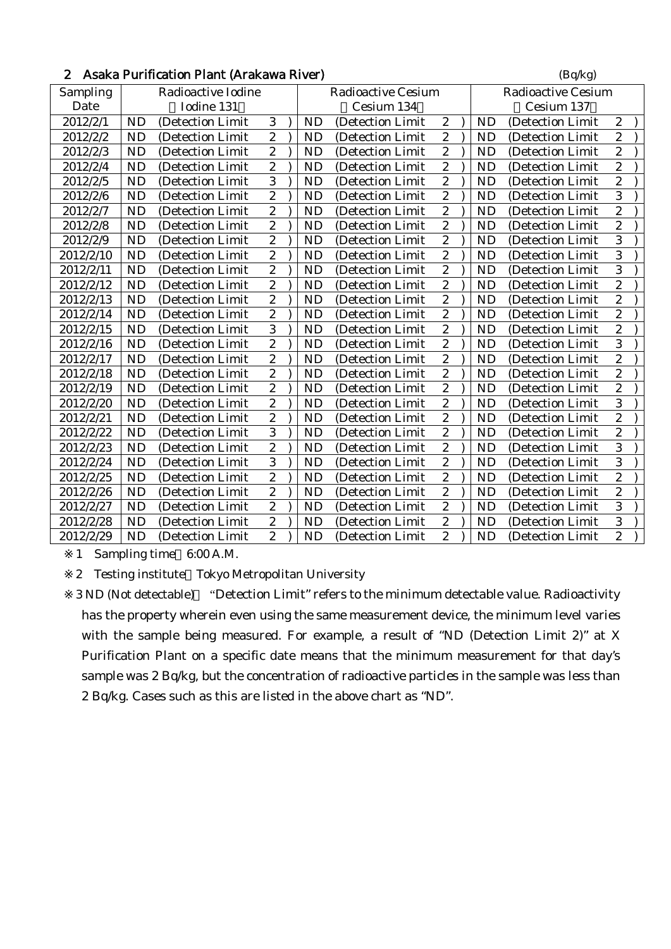| 2 Asaka Purification Plant (Arakawa River) | (Bq/kg) |
|--------------------------------------------|---------|
|                                            |         |

| Sampling  |           | Radioactive Iodine |                  |           | <b>Radioactive Cesium</b> |                  |           | <b>Radioactive Cesium</b> |                  |
|-----------|-----------|--------------------|------------------|-----------|---------------------------|------------------|-----------|---------------------------|------------------|
| Date      |           | Iodine 131         |                  |           | Cesium 134                |                  |           | Cesium 137                |                  |
| 2012/2/1  | <b>ND</b> | (Detection Limit)  | 3                | <b>ND</b> | (Detection Limit)         | $\boldsymbol{2}$ | <b>ND</b> | (Detection Limit)         | $\boldsymbol{2}$ |
| 2012/2/2  | <b>ND</b> | (Detection Limit   | $\mathbf{2}$     | <b>ND</b> | (Detection Limit          | $\boldsymbol{2}$ | <b>ND</b> | (Detection Limit)         | $\overline{c}$   |
| 2012/2/3  | <b>ND</b> | (Detection Limit)  | $\overline{c}$   | <b>ND</b> | (Detection Limit          | $\boldsymbol{2}$ | <b>ND</b> | (Detection Limit          | $\overline{c}$   |
| 2012/2/4  | <b>ND</b> | (Detection Limit   | $\overline{c}$   | <b>ND</b> | (Detection Limit          | $\boldsymbol{2}$ | <b>ND</b> | (Detection Limit          | $\overline{c}$   |
| 2012/2/5  | <b>ND</b> | (Detection Limit   | 3                | <b>ND</b> | (Detection Limit          | $\boldsymbol{2}$ | <b>ND</b> | (Detection Limit          | $\overline{c}$   |
| 2012/2/6  | <b>ND</b> | (Detection Limit)  | $\overline{2}$   | <b>ND</b> | (Detection Limit          | $\boldsymbol{2}$ | <b>ND</b> | (Detection Limit          | 3                |
| 2012/2/7  | <b>ND</b> | (Detection Limit   | $\sqrt{2}$       | <b>ND</b> | (Detection Limit)         | $\boldsymbol{2}$ | <b>ND</b> | (Detection Limit)         | $\overline{c}$   |
| 2012/2/8  | <b>ND</b> | (Detection Limit   | $\boldsymbol{2}$ | <b>ND</b> | (Detection Limit          | $\boldsymbol{2}$ | <b>ND</b> | (Detection Limit          | $\overline{c}$   |
| 2012/2/9  | <b>ND</b> | (Detection Limit   | $\overline{2}$   | ND        | (Detection Limit          | $\overline{2}$   | <b>ND</b> | (Detection Limit          | $\overline{3}$   |
| 2012/2/10 | <b>ND</b> | (Detection Limit   | $\mathbf{2}$     | <b>ND</b> | (Detection Limit          | $\boldsymbol{2}$ | <b>ND</b> | (Detection Limit)         | 3                |
| 2012/2/11 | <b>ND</b> | (Detection Limit)  | $\overline{2}$   | <b>ND</b> | (Detection Limit          | $\boldsymbol{2}$ | <b>ND</b> | (Detection Limit          | 3                |
| 2012/2/12 | <b>ND</b> | (Detection Limit   | $\overline{2}$   | <b>ND</b> | (Detection Limit          | $\overline{2}$   | <b>ND</b> | (Detection Limit)         | $\overline{2}$   |
| 2012/2/13 | <b>ND</b> | (Detection Limit)  | $\boldsymbol{2}$ | <b>ND</b> | (Detection Limit)         | $\boldsymbol{2}$ | <b>ND</b> | (Detection Limit)         | $\overline{c}$   |
| 2012/2/14 | <b>ND</b> | (Detection Limit   | $\overline{2}$   | <b>ND</b> | (Detection Limit          | $\boldsymbol{2}$ | <b>ND</b> | (Detection Limit          | $\overline{c}$   |
| 2012/2/15 | <b>ND</b> | (Detection Limit   | $\overline{3}$   | <b>ND</b> | (Detection Limit          | $\overline{c}$   | <b>ND</b> | (Detection Limit)         | $\overline{2}$   |
| 2012/2/16 | <b>ND</b> | (Detection Limit   | $\boldsymbol{2}$ | ND        | (Detection Limit          | $\boldsymbol{2}$ | <b>ND</b> | (Detection Limit          | 3                |
| 2012/2/17 | <b>ND</b> | (Detection Limit   | $\overline{c}$   | <b>ND</b> | (Detection Limit          | $\boldsymbol{2}$ | <b>ND</b> | (Detection Limit          | $\overline{c}$   |
| 2012/2/18 | <b>ND</b> | (Detection Limit)  | $\overline{2}$   | <b>ND</b> | (Detection Limit          | $\overline{2}$   | <b>ND</b> | (Detection Limit)         | $\overline{c}$   |
| 2012/2/19 | <b>ND</b> | (Detection Limit   | $\overline{2}$   | <b>ND</b> | (Detection Limit          | $\boldsymbol{2}$ | <b>ND</b> | (Detection Limit          | $\overline{c}$   |
| 2012/2/20 | <b>ND</b> | (Detection Limit   | $\overline{2}$   | <b>ND</b> | (Detection Limit          | $\overline{2}$   | <b>ND</b> | (Detection Limit          | $\overline{3}$   |
| 2012/2/21 | <b>ND</b> | (Detection Limit)  | $\mathbf{2}$     | <b>ND</b> | (Detection Limit)         | $\boldsymbol{2}$ | <b>ND</b> | (Detection Limit)         | $\overline{c}$   |
| 2012/2/22 | <b>ND</b> | (Detection Limit   | $\overline{3}$   | <b>ND</b> | (Detection Limit          | $\overline{2}$   | <b>ND</b> | (Detection Limit          | $\overline{c}$   |
| 2012/2/23 | <b>ND</b> | (Detection Limit)  | $\overline{2}$   | <b>ND</b> | (Detection Limit          | $\boldsymbol{2}$ | <b>ND</b> | (Detection Limit)         | 3                |
| 2012/2/24 | <b>ND</b> | (Detection Limit   | $\overline{3}$   | <b>ND</b> | (Detection Limit          | $\boldsymbol{2}$ | <b>ND</b> | (Detection Limit          | 3                |
| 2012/2/25 | <b>ND</b> | (Detection Limit   | $\overline{2}$   | <b>ND</b> | (Detection Limit)         | $\boldsymbol{2}$ | <b>ND</b> | (Detection Limit)         | $\overline{c}$   |
| 2012/2/26 | <b>ND</b> | (Detection Limit)  | $\mathbf{2}$     | <b>ND</b> | (Detection Limit)         | $\boldsymbol{2}$ | <b>ND</b> | (Detection Limit)         | $\overline{c}$   |
| 2012/2/27 | <b>ND</b> | (Detection Limit   | $\overline{2}$   | ND        | (Detection Limit          | $\boldsymbol{2}$ | <b>ND</b> | (Detection Limit          | 3                |
| 2012/2/28 | <b>ND</b> | (Detection Limit   | $\mathbf{2}$     | <b>ND</b> | (Detection Limit          | $\boldsymbol{2}$ | <b>ND</b> | (Detection Limit          | 3                |
| 2012/2/29 | <b>ND</b> | (Detection Limit)  | $\overline{c}$   | ND        | (Detection Limit)         | $\overline{c}$   | <b>ND</b> | (Detection Limit          | $\overline{c}$   |

2 Testing institute Tokyo Metropolitan University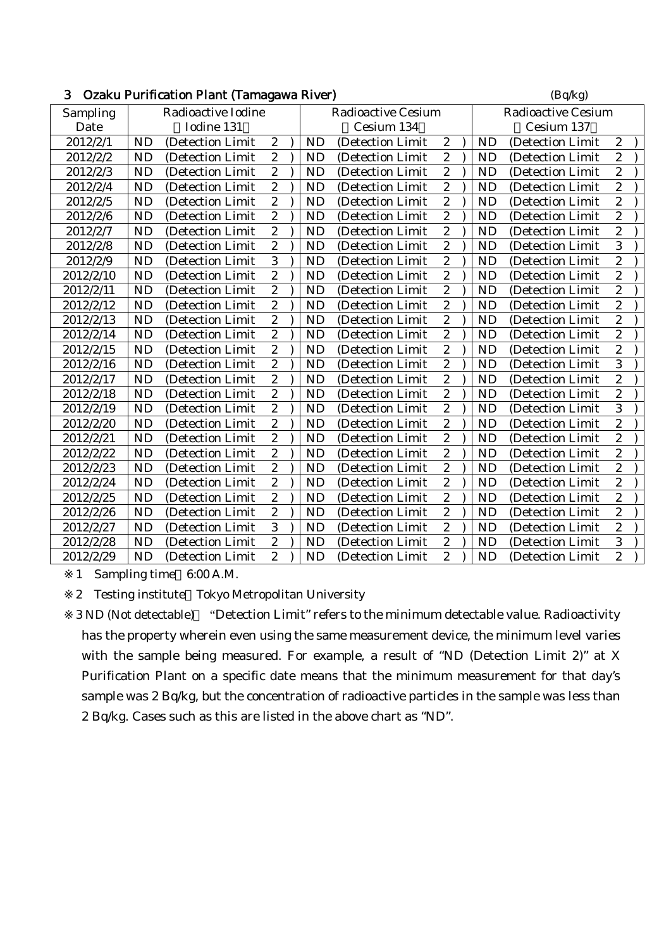| 3         | Ozaku Purification Plant (Tamagawa River) |                    |                  |  |           |                           |                  |  |           |                           |                  |
|-----------|-------------------------------------------|--------------------|------------------|--|-----------|---------------------------|------------------|--|-----------|---------------------------|------------------|
| Sampling  |                                           | Radioactive Iodine |                  |  |           | <b>Radioactive Cesium</b> |                  |  |           | <b>Radioactive Cesium</b> |                  |
| Date      |                                           | Iodine 131         |                  |  |           | Cesium 134                |                  |  |           | Cesium 137                |                  |
| 2012/2/1  | <b>ND</b>                                 | (Detection Limit   | $\boldsymbol{2}$ |  | <b>ND</b> | (Detection Limit          | $\boldsymbol{2}$ |  | <b>ND</b> | (Detection Limit          | $\boldsymbol{2}$ |
| 2012/2/2  | <b>ND</b>                                 | (Detection Limit   | $\overline{c}$   |  | <b>ND</b> | (Detection Limit          | $\overline{c}$   |  | <b>ND</b> | (Detection Limit          | $\overline{c}$   |
| 2012/2/3  | <b>ND</b>                                 | (Detection Limit   | $\overline{2}$   |  | <b>ND</b> | (Detection Limit          | $\overline{c}$   |  | ND        | (Detection Limit          | $\overline{c}$   |
| 2012/2/4  | <b>ND</b>                                 | (Detection Limit   | $\boldsymbol{2}$ |  | <b>ND</b> | (Detection Limit          | $\sqrt{2}$       |  | <b>ND</b> | (Detection Limit          | $\overline{c}$   |
| 2012/2/5  | <b>ND</b>                                 | (Detection Limit   | $\overline{c}$   |  | <b>ND</b> | (Detection Limit          | $\overline{c}$   |  | <b>ND</b> | (Detection Limit          | $\overline{c}$   |
| 2012/2/6  | <b>ND</b>                                 | (Detection Limit   | $\overline{2}$   |  | <b>ND</b> | (Detection Limit          | $\boldsymbol{2}$ |  | <b>ND</b> | (Detection Limit          | $\overline{c}$   |
| 2012/2/7  | <b>ND</b>                                 | (Detection Limit   | $\boldsymbol{2}$ |  | <b>ND</b> | (Detection Limit          | $\sqrt{2}$       |  | <b>ND</b> | (Detection Limit          | $\overline{c}$   |
| 2012/2/8  | <b>ND</b>                                 | (Detection Limit   | $\overline{c}$   |  | <b>ND</b> | (Detection Limit)         | $\overline{c}$   |  | <b>ND</b> | (Detection Limit          | 3                |
| 2012/2/9  | <b>ND</b>                                 | (Detection Limit   | $\overline{3}$   |  | <b>ND</b> | (Detection Limit          | $\overline{2}$   |  | <b>ND</b> | (Detection Limit          | $\overline{2}$   |
| 2012/2/10 | <b>ND</b>                                 | (Detection Limit   | $\boldsymbol{2}$ |  | <b>ND</b> | (Detection Limit          | $\sqrt{2}$       |  | <b>ND</b> | (Detection Limit          | $\overline{c}$   |
| 2012/2/11 | <b>ND</b>                                 | (Detection Limit   | $\overline{c}$   |  | <b>ND</b> | (Detection Limit          | $\overline{c}$   |  | <b>ND</b> | (Detection Limit          | $\overline{2}$   |
| 2012/2/12 | <b>ND</b>                                 | (Detection Limit   | $\overline{2}$   |  | <b>ND</b> | (Detection Limit          | $\overline{2}$   |  | <b>ND</b> | (Detection Limit          | $\overline{2}$   |
| 2012/2/13 | <b>ND</b>                                 | (Detection Limit   | $\boldsymbol{2}$ |  | <b>ND</b> | (Detection Limit          | $\boldsymbol{2}$ |  | <b>ND</b> | (Detection Limit          | $\overline{c}$   |
| 2012/2/14 | <b>ND</b>                                 | (Detection Limit   | $\overline{c}$   |  | <b>ND</b> | (Detection Limit)         | $\overline{c}$   |  | <b>ND</b> | (Detection Limit          | $\overline{2}$   |
| 2012/2/15 | <b>ND</b>                                 | (Detection Limit   | $\overline{2}$   |  | <b>ND</b> | (Detection Limit          | $\overline{2}$   |  | <b>ND</b> | (Detection Limit          | $\overline{2}$   |
| 2012/2/16 | <b>ND</b>                                 | (Detection Limit   | $\boldsymbol{2}$ |  | <b>ND</b> | (Detection Limit          | $\boldsymbol{2}$ |  | <b>ND</b> | (Detection Limit          | 3                |
| 2012/2/17 | <b>ND</b>                                 | (Detection Limit   | $\overline{c}$   |  | <b>ND</b> | (Detection Limit          | $\overline{c}$   |  | <b>ND</b> | (Detection Limit          | $\overline{2}$   |
| 2012/2/18 | <b>ND</b>                                 | (Detection Limit   | $\overline{c}$   |  | <b>ND</b> | (Detection Limit          | $\boldsymbol{2}$ |  | <b>ND</b> | (Detection Limit          | $\overline{c}$   |
| 2012/2/19 | <b>ND</b>                                 | (Detection Limit   | $\boldsymbol{2}$ |  | <b>ND</b> | (Detection Limit          | $\boldsymbol{2}$ |  | <b>ND</b> | (Detection Limit          | 3                |
| 2012/2/20 | <b>ND</b>                                 | (Detection Limit   | $\overline{c}$   |  | <b>ND</b> | (Detection Limit          | $\overline{c}$   |  | <b>ND</b> | (Detection Limit          | $\overline{2}$   |
| 2012/2/21 | <b>ND</b>                                 | (Detection Limit   | $\overline{c}$   |  | <b>ND</b> | (Detection Limit          | $\boldsymbol{2}$ |  | <b>ND</b> | (Detection Limit          | $\overline{c}$   |
| 2012/2/22 | <b>ND</b>                                 | (Detection Limit   | $\boldsymbol{2}$ |  | <b>ND</b> | (Detection Limit          | $\boldsymbol{2}$ |  | <b>ND</b> | (Detection Limit          | $\overline{c}$   |
| 2012/2/23 | <b>ND</b>                                 | (Detection Limit   | $\overline{c}$   |  | <b>ND</b> | (Detection Limit          | $\overline{c}$   |  | <b>ND</b> | (Detection Limit          | $\overline{c}$   |
| 2012/2/24 | <b>ND</b>                                 | (Detection Limit   | $\overline{2}$   |  | <b>ND</b> | (Detection Limit          | $\overline{c}$   |  | <b>ND</b> | (Detection Limit          | $\overline{c}$   |
| 2012/2/25 | <b>ND</b>                                 | (Detection Limit)  | $\boldsymbol{2}$ |  | <b>ND</b> | (Detection Limit)         | $\boldsymbol{2}$ |  | <b>ND</b> | (Detection Limit)         | $\overline{c}$   |
| 2012/2/26 | <b>ND</b>                                 | (Detection Limit   | $\boldsymbol{2}$ |  | <b>ND</b> | (Detection Limit          | $\boldsymbol{2}$ |  | <b>ND</b> | (Detection Limit          | $\overline{c}$   |
| 2012/2/27 | <b>ND</b>                                 | (Detection Limit   | $\overline{3}$   |  | <b>ND</b> | (Detection Limit          | $\overline{2}$   |  | <b>ND</b> | (Detection Limit          | $\overline{2}$   |
| 2012/2/28 | <b>ND</b>                                 | (Detection Limit)  | $\boldsymbol{2}$ |  | <b>ND</b> | (Detection Limit          | $\boldsymbol{2}$ |  | <b>ND</b> | (Detection Limit          | 3                |
| 2012/2/29 | <b>ND</b>                                 | (Detection Limit   | $\overline{c}$   |  | <b>ND</b> | (Detection Limit          | $\overline{c}$   |  | <b>ND</b> | (Detection Limit          | $\overline{c}$   |

2 Testing institute Tokyo Metropolitan University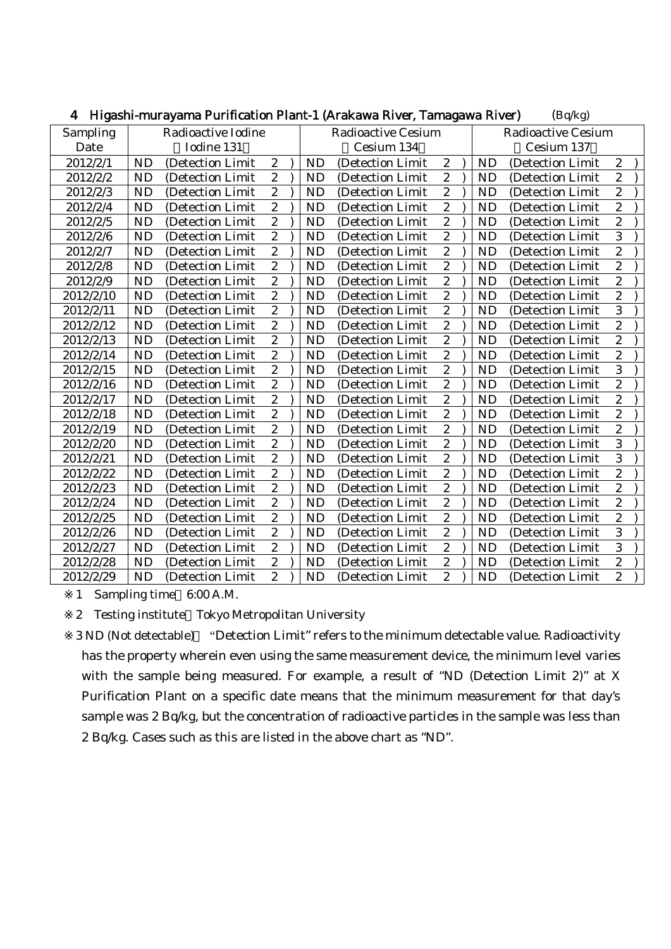| + Trigashi-murayama I urmanon Fianc I (Arawa Kivel, Tamagawa Kivel)<br>$(\mathbf{D}\mathbf{y} \mathbf{R})$ |                    |                   |                  |  |           |                           |                         |  |           |                           |                  |
|------------------------------------------------------------------------------------------------------------|--------------------|-------------------|------------------|--|-----------|---------------------------|-------------------------|--|-----------|---------------------------|------------------|
| Sampling                                                                                                   | Radioactive Iodine |                   |                  |  |           | <b>Radioactive Cesium</b> |                         |  |           | <b>Radioactive Cesium</b> |                  |
| Date                                                                                                       |                    | Iodine 131        |                  |  |           | Cesium 134                |                         |  |           | Cesium 137                |                  |
| 2012/2/1                                                                                                   | <b>ND</b>          | (Detection Limit  | $\boldsymbol{2}$ |  | <b>ND</b> | (Detection Limit          | $\boldsymbol{2}$        |  | <b>ND</b> | (Detection Limit          | $\boldsymbol{2}$ |
| 2012/2/2                                                                                                   | <b>ND</b>          | (Detection Limit  | $\overline{c}$   |  | <b>ND</b> | (Detection Limit          | $\overline{c}$          |  | <b>ND</b> | (Detection Limit          | $\overline{c}$   |
| 2012/2/3                                                                                                   | <b>ND</b>          | (Detection Limit) | $\boldsymbol{2}$ |  | <b>ND</b> | (Detection Limit          | $\boldsymbol{2}$        |  | <b>ND</b> | (Detection Limit)         | $\overline{c}$   |
| 2012/2/4                                                                                                   | <b>ND</b>          | (Detection Limit  | $\boldsymbol{2}$ |  | <b>ND</b> | (Detection Limit          | $\boldsymbol{2}$        |  | <b>ND</b> | (Detection Limit          | $\boldsymbol{2}$ |
| 2012/2/5                                                                                                   | <b>ND</b>          | (Detection Limit) | $\boldsymbol{2}$ |  | <b>ND</b> | (Detection Limit          | $\overline{\mathbf{c}}$ |  | <b>ND</b> | (Detection Limit          | $\overline{c}$   |
| 2012/2/6                                                                                                   | <b>ND</b>          | (Detection Limit  | $\overline{2}$   |  | <b>ND</b> | (Detection Limit          | $\overline{2}$          |  | <b>ND</b> | (Detection Limit          | $\overline{3}$   |
| 2012/2/7                                                                                                   | <b>ND</b>          | (Detection Limit  | $\overline{c}$   |  | <b>ND</b> | (Detection Limit          | $\overline{c}$          |  | <b>ND</b> | (Detection Limit          | $\overline{c}$   |
| 2012/2/8                                                                                                   | <b>ND</b>          | (Detection Limit  | $\overline{c}$   |  | <b>ND</b> | (Detection Limit          | $\overline{c}$          |  | <b>ND</b> | (Detection Limit          | $\overline{c}$   |
| 2012/2/9                                                                                                   | <b>ND</b>          | (Detection Limit) | $\boldsymbol{2}$ |  | <b>ND</b> | (Detection Limit          | $\boldsymbol{2}$        |  | <b>ND</b> | (Detection Limit          | $\overline{c}$   |
| 2012/2/10                                                                                                  | <b>ND</b>          | (Detection Limit  | $\overline{2}$   |  | <b>ND</b> | (Detection Limit          | $\overline{c}$          |  | <b>ND</b> | (Detection Limit          | $\overline{c}$   |
| 2012/2/11                                                                                                  | <b>ND</b>          | (Detection Limit  | $\boldsymbol{2}$ |  | <b>ND</b> | (Detection Limit          | $\boldsymbol{2}$        |  | <b>ND</b> | (Detection Limit          | 3                |
| 2012/2/12                                                                                                  | <b>ND</b>          | (Detection Limit  | $\boldsymbol{2}$ |  | <b>ND</b> | (Detection Limit          | $\boldsymbol{2}$        |  | <b>ND</b> | (Detection Limit          | $\overline{c}$   |
| 2012/2/13                                                                                                  | <b>ND</b>          | (Detection Limit  | $\boldsymbol{2}$ |  | <b>ND</b> | (Detection Limit          | $\overline{c}$          |  | <b>ND</b> | (Detection Limit          | $\overline{c}$   |
| 2012/2/14                                                                                                  | <b>ND</b>          | (Detection Limit) | $\boldsymbol{2}$ |  | <b>ND</b> | (Detection Limit)         | $\boldsymbol{2}$        |  | <b>ND</b> | (Detection Limit)         | $\overline{c}$   |
| 2012/2/15                                                                                                  | <b>ND</b>          | (Detection Limit  | $\overline{2}$   |  | <b>ND</b> | (Detection Limit          | $\overline{c}$          |  | <b>ND</b> | (Detection Limit          | 3                |
| 2012/2/16                                                                                                  | <b>ND</b>          | (Detection Limit) | $\overline{c}$   |  | <b>ND</b> | (Detection Limit          | $\sqrt{2}$              |  | <b>ND</b> | (Detection Limit          | $\overline{2}$   |
| 2012/2/17                                                                                                  | <b>ND</b>          | (Detection Limit  | $\overline{c}$   |  | <b>ND</b> | (Detection Limit          | $\overline{c}$          |  | <b>ND</b> | (Detection Limit          | $\overline{c}$   |
| 2012/2/18                                                                                                  | <b>ND</b>          | (Detection Limit  | $\overline{c}$   |  | <b>ND</b> | (Detection Limit          | $\overline{c}$          |  | <b>ND</b> | (Detection Limit          | $\overline{c}$   |
| 2012/2/19                                                                                                  | <b>ND</b>          | (Detection Limit  | $\boldsymbol{2}$ |  | <b>ND</b> | (Detection Limit)         | $\sqrt{2}$              |  | <b>ND</b> | (Detection Limit          | $\boldsymbol{2}$ |
| 2012/2/20                                                                                                  | <b>ND</b>          | (Detection Limit) | $\boldsymbol{2}$ |  | <b>ND</b> | (Detection Limit          | $\boldsymbol{2}$        |  | <b>ND</b> | (Detection Limit          | 3                |
| 2012/2/21                                                                                                  | <b>ND</b>          | (Detection Limit  | $\overline{c}$   |  | <b>ND</b> | (Detection Limit          | $\overline{c}$          |  | <b>ND</b> | (Detection Limit          | $\overline{3}$   |
| 2012/2/22                                                                                                  | <b>ND</b>          | (Detection Limit  | $\boldsymbol{2}$ |  | <b>ND</b> | (Detection Limit          | $\boldsymbol{2}$        |  | <b>ND</b> | (Detection Limit          | $\overline{2}$   |
| 2012/2/23                                                                                                  | <b>ND</b>          | (Detection Limit  | $\boldsymbol{2}$ |  | <b>ND</b> | (Detection Limit          | $\sqrt{2}$              |  | <b>ND</b> | (Detection Limit          | $\overline{c}$   |
| 2012/2/24                                                                                                  | <b>ND</b>          | (Detection Limit) | $\overline{c}$   |  | <b>ND</b> | (Detection Limit          | $\boldsymbol{2}$        |  | <b>ND</b> | (Detection Limit          | $\overline{2}$   |
| 2012/2/25                                                                                                  | <b>ND</b>          | (Detection Limit  | $\boldsymbol{2}$ |  | <b>ND</b> | (Detection Limit          | $\overline{c}$          |  | <b>ND</b> | (Detection Limit          | $\overline{c}$   |
| 2012/2/26                                                                                                  | <b>ND</b>          | (Detection Limit  | $\sqrt{2}$       |  | <b>ND</b> | (Detection Limit          | $\sqrt{2}$              |  | <b>ND</b> | (Detection Limit          | 3                |
| 2012/2/27                                                                                                  | <b>ND</b>          | (Detection Limit  | $\overline{2}$   |  | <b>ND</b> | (Detection Limit          | $\overline{2}$          |  | <b>ND</b> | (Detection Limit          | $\overline{3}$   |
| 2012/2/28                                                                                                  | <b>ND</b>          | (Detection Limit) | $\boldsymbol{2}$ |  | <b>ND</b> | (Detection Limit          | $\boldsymbol{2}$        |  | <b>ND</b> | (Detection Limit          | $\overline{c}$   |
| 2012/2/29                                                                                                  | <b>ND</b>          | (Detection Limit  | $\overline{c}$   |  | <b>ND</b> | (Detection Limit)         | $\overline{c}$          |  | <b>ND</b> | (Detection Limit          | $\overline{c}$   |

 $\mathbf{H}$ igashi-murayama Purification Plant-1 (Arakawa River, Tamagawa River) (Ba/kg)

2 Testing institute Tokyo Metropolitan University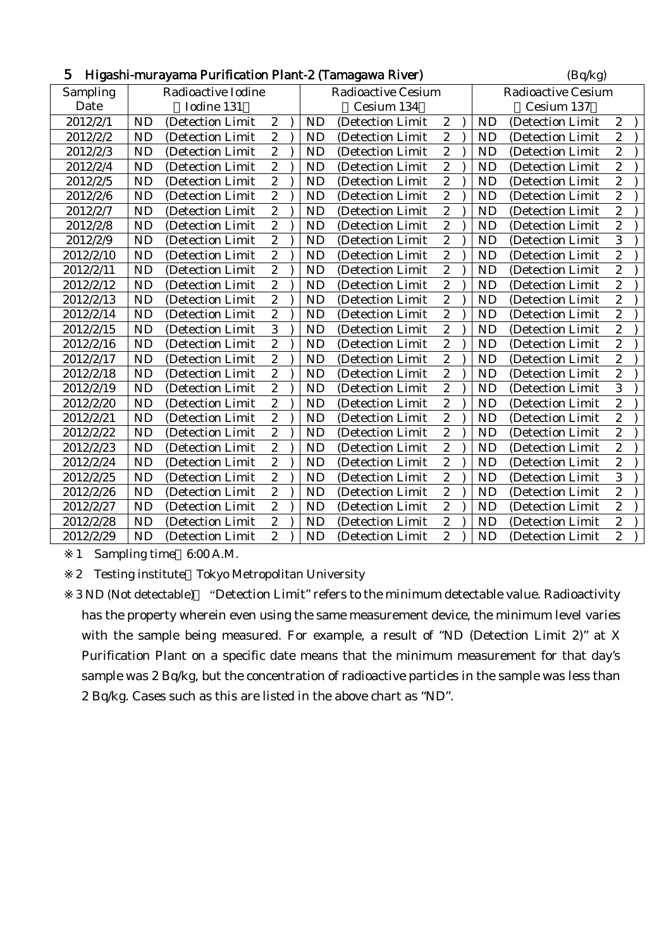| Higashi-murayama Purification Plant-2 (Tamagawa River)<br>5<br>(Bq/kg) |           |                    |                         |  |           |                           |                  |                           |           |                   |                  |  |
|------------------------------------------------------------------------|-----------|--------------------|-------------------------|--|-----------|---------------------------|------------------|---------------------------|-----------|-------------------|------------------|--|
| Sampling                                                               |           | Radioactive Iodine |                         |  |           | <b>Radioactive Cesium</b> |                  | <b>Radioactive Cesium</b> |           |                   |                  |  |
| Date                                                                   |           | Iodine 131         |                         |  |           | Cesium 134                |                  |                           |           | Cesium 137        |                  |  |
| 2012/2/1                                                               | <b>ND</b> | (Detection Limit   | $\sqrt{2}$              |  | <b>ND</b> | (Detection Limit          | $\boldsymbol{2}$ |                           | <b>ND</b> | (Detection Limit  | $\boldsymbol{2}$ |  |
| 2012/2/2                                                               | <b>ND</b> | (Detection Limit   | $\overline{c}$          |  | <b>ND</b> | (Detection Limit)         | $\overline{c}$   |                           | <b>ND</b> | (Detection Limit  | $\overline{2}$   |  |
| 2012/2/3                                                               | <b>ND</b> | (Detection Limit)  | $\overline{c}$          |  | <b>ND</b> | (Detection Limit)         | $\overline{c}$   |                           | <b>ND</b> | (Detection Limit) | $\overline{2}$   |  |
| 2012/2/4                                                               | <b>ND</b> | (Detection Limit   | $\boldsymbol{2}$        |  | <b>ND</b> | (Detection Limit          | $\boldsymbol{2}$ |                           | <b>ND</b> | (Detection Limit  | $\boldsymbol{2}$ |  |
| 2012/2/5                                                               | <b>ND</b> | (Detection Limit   | $\overline{c}$          |  | <b>ND</b> | (Detection Limit          | $\overline{c}$   |                           | <b>ND</b> | (Detection Limit  | $\overline{c}$   |  |
| 2012/2/6                                                               | <b>ND</b> | (Detection Limit)  | $\overline{c}$          |  | <b>ND</b> | (Detection Limit          | $\boldsymbol{2}$ |                           | <b>ND</b> | (Detection Limit  | $\overline{c}$   |  |
| 2012/2/7                                                               | <b>ND</b> | (Detection Limit)  | $\sqrt{2}$              |  | <b>ND</b> | (Detection Limit          | $\sqrt{2}$       |                           | <b>ND</b> | (Detection Limit  | $\overline{c}$   |  |
| 2012/2/8                                                               | <b>ND</b> | (Detection Limit   | $\overline{c}$          |  | <b>ND</b> | (Detection Limit)         | $\overline{c}$   |                           | <b>ND</b> | (Detection Limit  | $\overline{c}$   |  |
| 2012/2/9                                                               | <b>ND</b> | (Detection Limit   | $\overline{c}$          |  | <b>ND</b> | (Detection Limit          | $\boldsymbol{2}$ |                           | <b>ND</b> | (Detection Limit  | 3                |  |
| 2012/2/10                                                              | <b>ND</b> | (Detection Limit   | $\boldsymbol{2}$        |  | <b>ND</b> | (Detection Limit          | $\sqrt{2}$       |                           | <b>ND</b> | (Detection Limit  | $\overline{c}$   |  |
| 2012/2/11                                                              | <b>ND</b> | (Detection Limit   | $\overline{c}$          |  | <b>ND</b> | (Detection Limit          | $\overline{c}$   |                           | <b>ND</b> | (Detection Limit  | $\overline{c}$   |  |
| 2012/2/12                                                              | <b>ND</b> | (Detection Limit)  | $\overline{c}$          |  | <b>ND</b> | (Detection Limit          | $\overline{c}$   |                           | <b>ND</b> | (Detection Limit  | $\overline{c}$   |  |
| 2012/2/13                                                              | <b>ND</b> | (Detection Limit)  | $\boldsymbol{2}$        |  | <b>ND</b> | (Detection Limit)         | $\boldsymbol{2}$ |                           | <b>ND</b> | (Detection Limit  | $\overline{c}$   |  |
| 2012/2/14                                                              | <b>ND</b> | (Detection Limit   | $\overline{c}$          |  | <b>ND</b> | (Detection Limit          | $\overline{c}$   |                           | <b>ND</b> | (Detection Limit  | $\overline{c}$   |  |
| 2012/2/15                                                              | <b>ND</b> | (Detection Limit   | 3                       |  | <b>ND</b> | (Detection Limit          | $\overline{c}$   |                           | <b>ND</b> | (Detection Limit  | $\overline{c}$   |  |
| 2012/2/16                                                              | <b>ND</b> | (Detection Limit   | $\boldsymbol{2}$        |  | <b>ND</b> | (Detection Limit          | $\boldsymbol{2}$ |                           | <b>ND</b> | (Detection Limit  | $\overline{c}$   |  |
| 2012/2/17                                                              | <b>ND</b> | (Detection Limit   | $\overline{c}$          |  | <b>ND</b> | (Detection Limit)         | $\overline{c}$   |                           | <b>ND</b> | (Detection Limit  | $\overline{c}$   |  |
| 2012/2/18                                                              | <b>ND</b> | (Detection Limit   | $\overline{c}$          |  | <b>ND</b> | (Detection Limit          | $\boldsymbol{2}$ |                           | <b>ND</b> | (Detection Limit  | $\overline{c}$   |  |
| 2012/2/19                                                              | <b>ND</b> | (Detection Limit   | $\boldsymbol{2}$        |  | <b>ND</b> | (Detection Limit          | $\boldsymbol{2}$ |                           | <b>ND</b> | (Detection Limit  | 3                |  |
| 2012/2/20                                                              | <b>ND</b> | (Detection Limit   | $\overline{c}$          |  | <b>ND</b> | (Detection Limit          | $\overline{2}$   |                           | <b>ND</b> | (Detection Limit  | $\overline{c}$   |  |
| 2012/2/21                                                              | <b>ND</b> | (Detection Limit   | $\overline{2}$          |  | <b>ND</b> | (Detection Limit          | $\boldsymbol{2}$ |                           | <b>ND</b> | (Detection Limit  | $\overline{c}$   |  |
| 2012/2/22                                                              | <b>ND</b> | (Detection Limit)  | $\overline{c}$          |  | <b>ND</b> | (Detection Limit          | $\boldsymbol{2}$ |                           | <b>ND</b> | (Detection Limit  | $\overline{c}$   |  |
| 2012/2/23                                                              | <b>ND</b> | (Detection Limit   | $\boldsymbol{2}$        |  | <b>ND</b> | (Detection Limit)         | $\sqrt{2}$       |                           | <b>ND</b> | (Detection Limit) | $\overline{c}$   |  |
| 2012/2/24                                                              | <b>ND</b> | (Detection Limit   | $\overline{c}$          |  | <b>ND</b> | (Detection Limit          | $\overline{c}$   |                           | <b>ND</b> | (Detection Limit  | $\overline{c}$   |  |
| 2012/2/25                                                              | <b>ND</b> | (Detection Limit)  | $\overline{\mathbf{c}}$ |  | <b>ND</b> | (Detection Limit          | $\overline{c}$   |                           | <b>ND</b> | (Detection Limit  | 3                |  |
| 2012/2/26                                                              | <b>ND</b> | (Detection Limit   | $\boldsymbol{2}$        |  | <b>ND</b> | (Detection Limit          | $\boldsymbol{2}$ |                           | <b>ND</b> | (Detection Limit  | $\overline{c}$   |  |
| 2012/2/27                                                              | <b>ND</b> | (Detection Limit   | $\overline{2}$          |  | <b>ND</b> | (Detection Limit          | $\overline{2}$   |                           | <b>ND</b> | (Detection Limit  | $\overline{c}$   |  |
| 2012/2/28                                                              | <b>ND</b> | (Detection Limit)  | $\boldsymbol{2}$        |  | <b>ND</b> | (Detection Limit          | $\boldsymbol{2}$ |                           | <b>ND</b> | (Detection Limit  | $\overline{c}$   |  |
| 2012/2/29                                                              | <b>ND</b> | (Detection Limit   | $\overline{2}$          |  | <b>ND</b> | (Detection Limit          | $\overline{c}$   |                           | <b>ND</b> | (Detection Limit  | $\overline{c}$   |  |

2 Testing institute Tokyo Metropolitan University